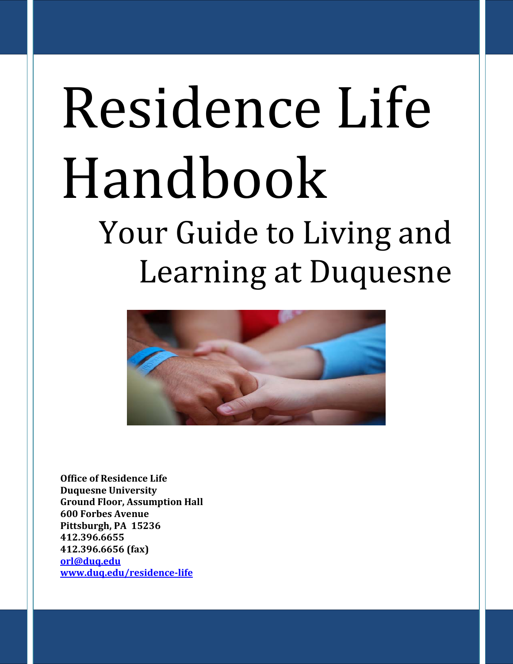# Residence Life Handbook Your Guide to Living and Learning at Duquesne



**Office of Residence Life Duquesne University Ground Floor, Assumption Hall 600 Forbes Avenue Pittsburgh, PA 15236 412.396.6655 412.396.6656 (fax) [orl@duq.edu](mailto:orl@duq.edu) [www.duq.edu/residence-life](http://www.duq.edu/residence-life)**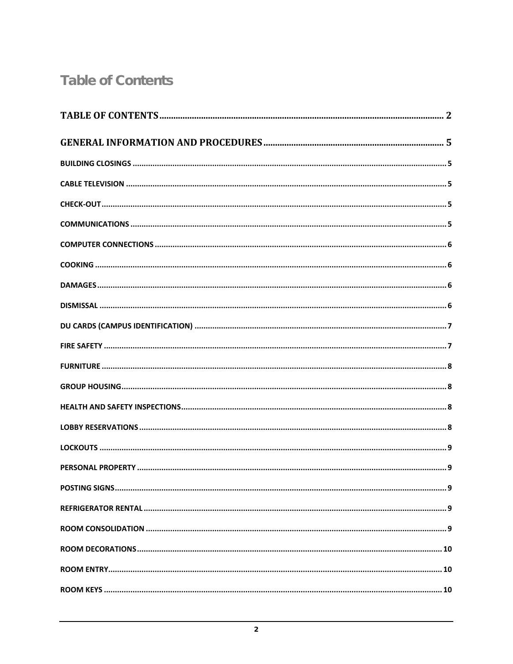# <span id="page-1-0"></span>**Table of Contents**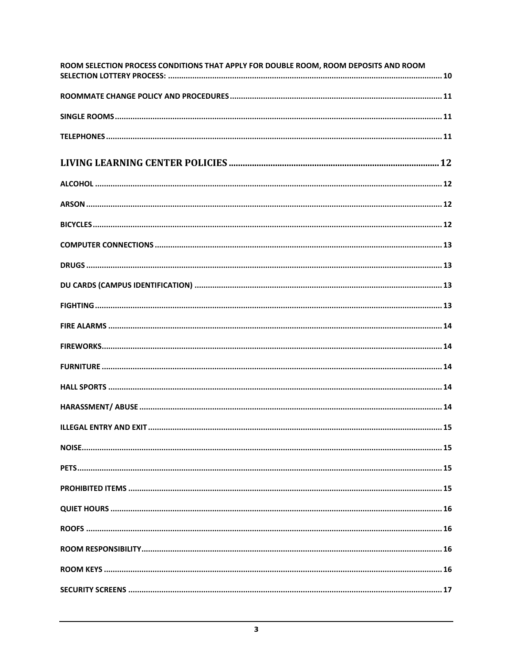| ROOM SELECTION PROCESS CONDITIONS THAT APPLY FOR DOUBLE ROOM, ROOM DEPOSITS AND ROOM |
|--------------------------------------------------------------------------------------|
|                                                                                      |
|                                                                                      |
|                                                                                      |
|                                                                                      |
|                                                                                      |
|                                                                                      |
|                                                                                      |
|                                                                                      |
|                                                                                      |
|                                                                                      |
|                                                                                      |
|                                                                                      |
|                                                                                      |
|                                                                                      |
|                                                                                      |
|                                                                                      |
|                                                                                      |
|                                                                                      |
|                                                                                      |
|                                                                                      |
|                                                                                      |
|                                                                                      |
|                                                                                      |
|                                                                                      |
|                                                                                      |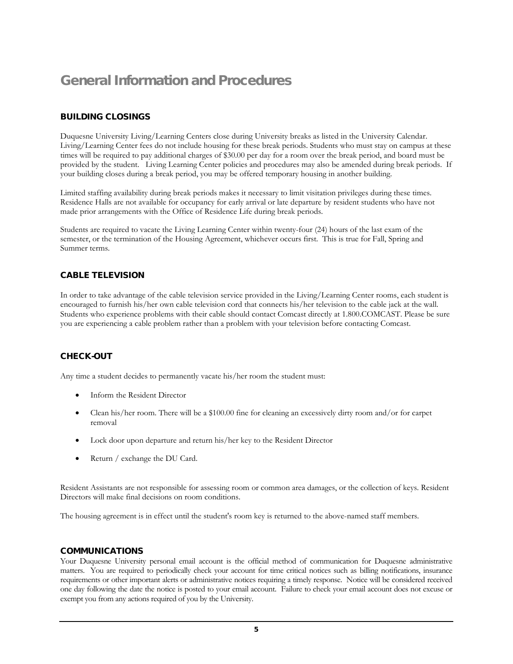# <span id="page-4-0"></span>General Information and Procedures

#### <span id="page-4-1"></span>BUILDING CLOSINGS

Duquesne University Living/Learning Centers close during University breaks as listed in the University Calendar. Living/Learning Center fees do not include housing for these break periods. Students who must stay on campus at these times will be required to pay additional charges of \$30.00 per day for a room over the break period, and board must be provided by the student. Living Learning Center policies and procedures may also be amended during break periods. If your building closes during a break period, you may be offered temporary housing in another building.

Limited staffing availability during break periods makes it necessary to limit visitation privileges during these times. Residence Halls are not available for occupancy for early arrival or late departure by resident students who have not made prior arrangements with the Office of Residence Life during break periods.

Students are required to vacate the Living Learning Center within twenty-four (24) hours of the last exam of the semester, or the termination of the Housing Agreement, whichever occurs first. This is true for Fall, Spring and Summer terms.

#### <span id="page-4-2"></span>CABLE TELEVISION

In order to take advantage of the cable television service provided in the Living/Learning Center rooms, each student is encouraged to furnish his/her own cable television cord that connects his/her television to the cable jack at the wall. Students who experience problems with their cable should contact Comcast directly at 1.800.COMCAST. Please be sure you are experiencing a cable problem rather than a problem with your television before contacting Comcast.

#### <span id="page-4-3"></span>CHECK-OUT

Any time a student decides to permanently vacate his/her room the student must:

- Inform the Resident Director
- Clean his/her room. There will be a \$100.00 fine for cleaning an excessively dirty room and/or for carpet removal
- Lock door upon departure and return his/her key to the Resident Director
- Return / exchange the DU Card.

Resident Assistants are not responsible for assessing room or common area damages, or the collection of keys. Resident Directors will make final decisions on room conditions.

The housing agreement is in effect until the student's room key is returned to the above-named staff members.

#### <span id="page-4-4"></span>COMMUNICATIONS

Your Duquesne University personal email account is the official method of communication for Duquesne administrative matters. You are required to periodically check your account for time critical notices such as billing notifications, insurance requirements or other important alerts or administrative notices requiring a timely response. Notice will be considered received one day following the date the notice is posted to your email account. Failure to check your email account does not excuse or exempt you from any actions required of you by the University.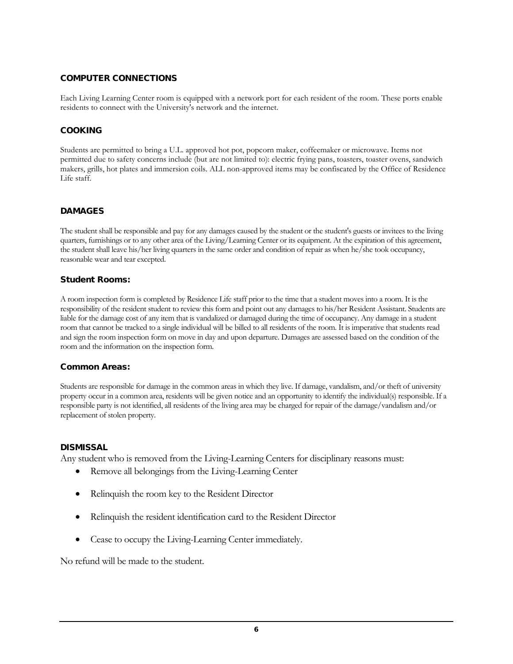# <span id="page-5-0"></span>COMPUTER CONNECTIONS

Each Living Learning Center room is equipped with a network port for each resident of the room. These ports enable residents to connect with the University's network and the internet.

#### <span id="page-5-1"></span>COOKING

Students are permitted to bring a U.L. approved hot pot, popcorn maker, coffeemaker or microwave. Items not permitted due to safety concerns include (but are not limited to): electric frying pans, toasters, toaster ovens, sandwich makers, grills, hot plates and immersion coils. ALL non-approved items may be confiscated by the Office of Residence Life staff.

#### <span id="page-5-2"></span>DAMAGES

The student shall be responsible and pay for any damages caused by the student or the student's guests or invitees to the living quarters, furnishings or to any other area of the Living/Learning Center or its equipment. At the expiration of this agreement, the student shall leave his/her living quarters in the same order and condition of repair as when he/she took occupancy, reasonable wear and tear excepted.

#### Student Rooms:

A room inspection form is completed by Residence Life staff prior to the time that a student moves into a room. It is the responsibility of the resident student to review this form and point out any damages to his/her Resident Assistant. Students are liable for the damage cost of any item that is vandalized or damaged during the time of occupancy. Any damage in a student room that cannot be tracked to a single individual will be billed to all residents of the room. It is imperative that students read and sign the room inspection form on move in day and upon departure. Damages are assessed based on the condition of the room and the information on the inspection form.

#### Common Areas:

Students are responsible for damage in the common areas in which they live. If damage, vandalism, and/or theft of university property occur in a common area, residents will be given notice and an opportunity to identify the individual(s) responsible. If a responsible party is not identified, all residents of the living area may be charged for repair of the damage/vandalism and/or replacement of stolen property.

#### <span id="page-5-3"></span>**DISMISSAL**

Any student who is removed from the Living-Learning Centers for disciplinary reasons must:

- Remove all belongings from the Living-Learning Center
- Relinquish the room key to the Resident Director
- Relinquish the resident identification card to the Resident Director
- Cease to occupy the Living-Learning Center immediately.

No refund will be made to the student.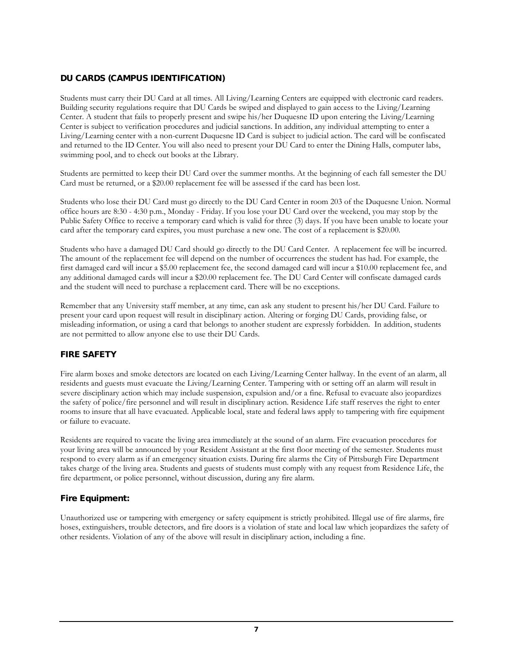# <span id="page-6-0"></span>DU CARDS (CAMPUS IDENTIFICATION)

Students must carry their DU Card at all times. All Living/Learning Centers are equipped with electronic card readers. Building security regulations require that DU Cards be swiped and displayed to gain access to the Living/Learning Center. A student that fails to properly present and swipe his/her Duquesne ID upon entering the Living/Learning Center is subject to verification procedures and judicial sanctions. In addition, any individual attempting to enter a Living/Learning center with a non-current Duquesne ID Card is subject to judicial action. The card will be confiscated and returned to the ID Center. You will also need to present your DU Card to enter the Dining Halls, computer labs, swimming pool, and to check out books at the Library.

Students are permitted to keep their DU Card over the summer months. At the beginning of each fall semester the DU Card must be returned, or a \$20.00 replacement fee will be assessed if the card has been lost.

Students who lose their DU Card must go directly to the DU Card Center in room 203 of the Duquesne Union. Normal office hours are 8:30 - 4:30 p.m., Monday - Friday. If you lose your DU Card over the weekend, you may stop by the Public Safety Office to receive a temporary card which is valid for three (3) days. If you have been unable to locate your card after the temporary card expires, you must purchase a new one. The cost of a replacement is \$20.00.

Students who have a damaged DU Card should go directly to the DU Card Center. A replacement fee will be incurred. The amount of the replacement fee will depend on the number of occurrences the student has had. For example, the first damaged card will incur a \$5.00 replacement fee, the second damaged card will incur a \$10.00 replacement fee, and any additional damaged cards will incur a \$20.00 replacement fee. The DU Card Center will confiscate damaged cards and the student will need to purchase a replacement card. There will be no exceptions.

Remember that any University staff member, at any time, can ask any student to present his/her DU Card. Failure to present your card upon request will result in disciplinary action. Altering or forging DU Cards, providing false, or misleading information, or using a card that belongs to another student are expressly forbidden. In addition, students are not permitted to allow anyone else to use their DU Cards.

#### <span id="page-6-1"></span>FIRE SAFETY

Fire alarm boxes and smoke detectors are located on each Living/Learning Center hallway. In the event of an alarm, all residents and guests must evacuate the Living/Learning Center. Tampering with or setting off an alarm will result in severe disciplinary action which may include suspension, expulsion and/or a fine. Refusal to evacuate also jeopardizes the safety of police/fire personnel and will result in disciplinary action. Residence Life staff reserves the right to enter rooms to insure that all have evacuated. Applicable local, state and federal laws apply to tampering with fire equipment or failure to evacuate.

Residents are required to vacate the living area immediately at the sound of an alarm. Fire evacuation procedures for your living area will be announced by your Resident Assistant at the first floor meeting of the semester. Students must respond to every alarm as if an emergency situation exists. During fire alarms the City of Pittsburgh Fire Department takes charge of the living area. Students and guests of students must comply with any request from Residence Life, the fire department, or police personnel, without discussion, during any fire alarm.

# Fire Equipment:

Unauthorized use or tampering with emergency or safety equipment is strictly prohibited. Illegal use of fire alarms, fire hoses, extinguishers, trouble detectors, and fire doors is a violation of state and local law which jeopardizes the safety of other residents. Violation of any of the above will result in disciplinary action, including a fine.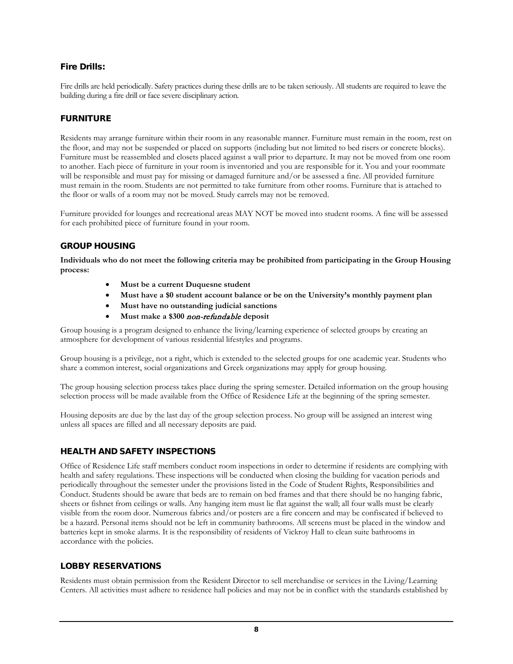# Fire Drills:

Fire drills are held periodically. Safety practices during these drills are to be taken seriously. All students are required to leave the building during a fire drill or face severe disciplinary action.

#### <span id="page-7-0"></span>**FURNITURE**

Residents may arrange furniture within their room in any reasonable manner. Furniture must remain in the room, rest on the floor, and may not be suspended or placed on supports (including but not limited to bed risers or concrete blocks). Furniture must be reassembled and closets placed against a wall prior to departure. It may not be moved from one room to another. Each piece of furniture in your room is inventoried and you are responsible for it. You and your roommate will be responsible and must pay for missing or damaged furniture and/or be assessed a fine. All provided furniture must remain in the room. Students are not permitted to take furniture from other rooms. Furniture that is attached to the floor or walls of a room may not be moved. Study carrels may not be removed.

Furniture provided for lounges and recreational areas MAY NOT be moved into student rooms. A fine will be assessed for each prohibited piece of furniture found in your room.

#### <span id="page-7-1"></span>GROUP HOUSING

**Individuals who do not meet the following criteria may be prohibited from participating in the Group Housing process:**

- **Must be a current Duquesne student**
- **Must have a \$0 student account balance or be on the University's monthly payment plan**
- **Must have no outstanding judicial sanctions**
- **Must make a \$300** non-refundable **deposit**

Group housing is a program designed to enhance the living/learning experience of selected groups by creating an atmosphere for development of various residential lifestyles and programs.

Group housing is a privilege, not a right, which is extended to the selected groups for one academic year. Students who share a common interest, social organizations and Greek organizations may apply for group housing.

The group housing selection process takes place during the spring semester. Detailed information on the group housing selection process will be made available from the Office of Residence Life at the beginning of the spring semester.

Housing deposits are due by the last day of the group selection process. No group will be assigned an interest wing unless all spaces are filled and all necessary deposits are paid.

#### <span id="page-7-2"></span>HEALTH AND SAFETY INSPECTIONS

Office of Residence Life staff members conduct room inspections in order to determine if residents are complying with health and safety regulations. These inspections will be conducted when closing the building for vacation periods and periodically throughout the semester under the provisions listed in the Code of Student Rights, Responsibilities and Conduct. Students should be aware that beds are to remain on bed frames and that there should be no hanging fabric, sheets or fishnet from ceilings or walls. Any hanging item must lie flat against the wall; all four walls must be clearly visible from the room door. Numerous fabrics and/or posters are a fire concern and may be confiscated if believed to be a hazard. Personal items should not be left in community bathrooms. All screens must be placed in the window and batteries kept in smoke alarms. It is the responsibility of residents of Vickroy Hall to clean suite bathrooms in accordance with the policies.

#### <span id="page-7-3"></span>LOBBY RESERVATIONS

Residents must obtain permission from the Resident Director to sell merchandise or services in the Living/Learning Centers. All activities must adhere to residence hall policies and may not be in conflict with the standards established by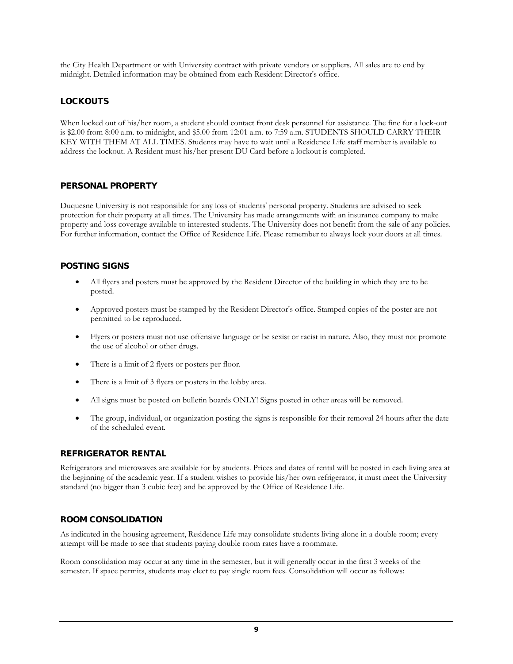the City Health Department or with University contract with private vendors or suppliers. All sales are to end by midnight. Detailed information may be obtained from each Resident Director's office.

# <span id="page-8-0"></span>**LOCKOUTS**

When locked out of his/her room, a student should contact front desk personnel for assistance. The fine for a lock-out is \$2.00 from 8:00 a.m. to midnight, and \$5.00 from 12:01 a.m. to 7:59 a.m. STUDENTS SHOULD CARRY THEIR KEY WITH THEM AT ALL TIMES. Students may have to wait until a Residence Life staff member is available to address the lockout. A Resident must his/her present DU Card before a lockout is completed.

#### <span id="page-8-1"></span>PERSONAL PROPERTY

Duquesne University is not responsible for any loss of students' personal property. Students are advised to seek protection for their property at all times. The University has made arrangements with an insurance company to make property and loss coverage available to interested students. The University does not benefit from the sale of any policies. For further information, contact the Office of Residence Life. Please remember to always lock your doors at all times.

#### <span id="page-8-2"></span>POSTING SIGNS

- All flyers and posters must be approved by the Resident Director of the building in which they are to be posted.
- Approved posters must be stamped by the Resident Director's office. Stamped copies of the poster are not permitted to be reproduced.
- Flyers or posters must not use offensive language or be sexist or racist in nature. Also, they must not promote the use of alcohol or other drugs.
- There is a limit of 2 flyers or posters per floor.
- There is a limit of 3 flyers or posters in the lobby area.
- All signs must be posted on bulletin boards ONLY! Signs posted in other areas will be removed.
- The group, individual, or organization posting the signs is responsible for their removal 24 hours after the date of the scheduled event.

#### <span id="page-8-3"></span>REFRIGERATOR RENTAL

Refrigerators and microwaves are available for by students. Prices and dates of rental will be posted in each living area at the beginning of the academic year. If a student wishes to provide his/her own refrigerator, it must meet the University standard (no bigger than 3 cubic feet) and be approved by the Office of Residence Life.

#### <span id="page-8-4"></span>ROOM CONSOLIDATION

As indicated in the housing agreement, Residence Life may consolidate students living alone in a double room; every attempt will be made to see that students paying double room rates have a roommate.

Room consolidation may occur at any time in the semester, but it will generally occur in the first 3 weeks of the semester. If space permits, students may elect to pay single room fees. Consolidation will occur as follows: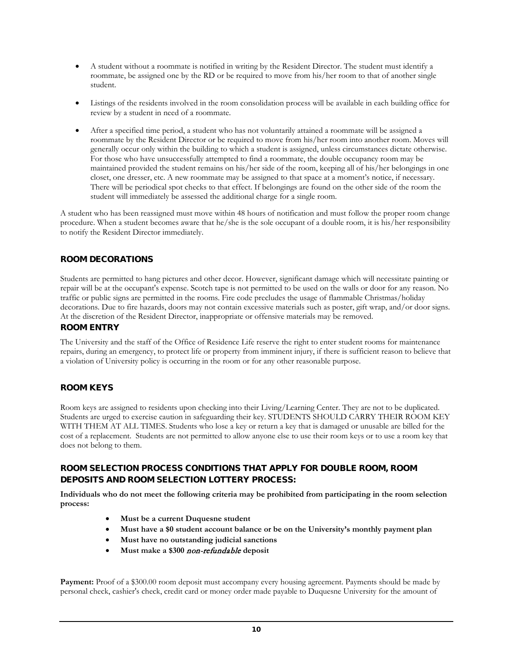- A student without a roommate is notified in writing by the Resident Director. The student must identify a roommate, be assigned one by the RD or be required to move from his/her room to that of another single student.
- Listings of the residents involved in the room consolidation process will be available in each building office for review by a student in need of a roommate.
- After a specified time period, a student who has not voluntarily attained a roommate will be assigned a roommate by the Resident Director or be required to move from his/her room into another room. Moves will generally occur only within the building to which a student is assigned, unless circumstances dictate otherwise. For those who have unsuccessfully attempted to find a roommate, the double occupancy room may be maintained provided the student remains on his/her side of the room, keeping all of his/her belongings in one closet, one dresser, etc. A new roommate may be assigned to that space at a moment's notice, if necessary. There will be periodical spot checks to that effect. If belongings are found on the other side of the room the student will immediately be assessed the additional charge for a single room.

A student who has been reassigned must move within 48 hours of notification and must follow the proper room change procedure. When a student becomes aware that he/she is the sole occupant of a double room, it is his/her responsibility to notify the Resident Director immediately.

#### <span id="page-9-0"></span>ROOM DECORATIONS

Students are permitted to hang pictures and other decor. However, significant damage which will necessitate painting or repair will be at the occupant's expense. Scotch tape is not permitted to be used on the walls or door for any reason. No traffic or public signs are permitted in the rooms. Fire code precludes the usage of flammable Christmas/holiday decorations. Due to fire hazards, doors may not contain excessive materials such as poster, gift wrap, and/or door signs. At the discretion of the Resident Director, inappropriate or offensive materials may be removed.

#### <span id="page-9-1"></span>ROOM ENTRY

The University and the staff of the Office of Residence Life reserve the right to enter student rooms for maintenance repairs, during an emergency, to protect life or property from imminent injury, if there is sufficient reason to believe that a violation of University policy is occurring in the room or for any other reasonable purpose.

# <span id="page-9-2"></span>ROOM KEYS

Room keys are assigned to residents upon checking into their Living/Learning Center. They are not to be duplicated. Students are urged to exercise caution in safeguarding their key. STUDENTS SHOULD CARRY THEIR ROOM KEY WITH THEM AT ALL TIMES. Students who lose a key or return a key that is damaged or unusable are billed for the cost of a replacement. Students are not permitted to allow anyone else to use their room keys or to use a room key that does not belong to them.

# <span id="page-9-3"></span>ROOM SELECTION PROCESS CONDITIONS THAT APPLY FOR DOUBLE ROOM, ROOM DEPOSITS AND ROOM SELECTION LOTTERY PROCESS:

**Individuals who do not meet the following criteria may be prohibited from participating in the room selection process:**

- **Must be a current Duquesne student**
- **Must have a \$0 student account balance or be on the University's monthly payment plan**
- **Must have no outstanding judicial sanctions**
- **Must make a \$300** non-refundable **deposit**

**Payment:** Proof of a \$300.00 room deposit must accompany every housing agreement. Payments should be made by personal check, cashier's check, credit card or money order made payable to Duquesne University for the amount of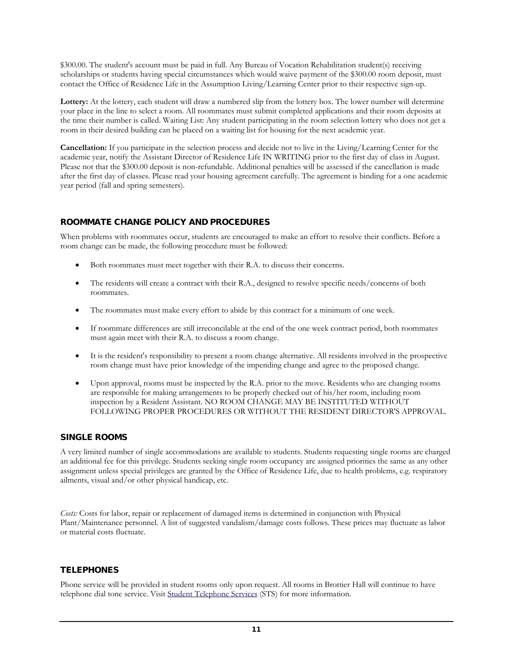\$300.00. The student's account must be paid in full. Any Bureau of Vocation Rehabilitation student(s) receiving scholarships or students having special circumstances which would waive payment of the \$300.00 room deposit, must contact the Office of Residence Life in the Assumption Living/Learning Center prior to their respective sign-up.

**Lottery:** At the lottery, each student will draw a numbered slip from the lottery box. The lower number will determine your place in the line to select a room. All roommates must submit completed applications and their room deposits at the time their number is called. Waiting List: Any student participating in the room selection lottery who does not get a room in their desired building can be placed on a waiting list for housing for the next academic year.

**Cancellation:** If you participate in the selection process and decide not to live in the Living/Learning Center for the academic year, notify the Assistant Director of Residence Life IN WRITING prior to the first day of class in August. Please not that the \$300.00 deposit is non-refundable. Additional penalties will be assessed if the cancellation is made after the first day of classes. Please read your housing agreement carefully. The agreement is binding for a one academic year period (fall and spring semesters).

# <span id="page-10-0"></span>ROOMMATE CHANGE POLICY AND PROCEDURES

When problems with roommates occur, students are encouraged to make an effort to resolve their conflicts. Before a room change can be made, the following procedure must be followed:

- Both roommates must meet together with their R.A. to discuss their concerns.
- The residents will create a contract with their R.A., designed to resolve specific needs/concerns of both roommates.
- The roommates must make every effort to abide by this contract for a minimum of one week.
- If roommate differences are still irreconcilable at the end of the one week contract period, both roommates must again meet with their R.A. to discuss a room change.
- It is the resident's responsibility to present a room change alternative. All residents involved in the prospective room change must have prior knowledge of the impending change and agree to the proposed change.
- Upon approval, rooms must be inspected by the R.A. prior to the move. Residents who are changing rooms are responsible for making arrangements to be properly checked out of his/her room, including room inspection by a Resident Assistant. NO ROOM CHANGE MAY BE INSTITUTED WITHOUT FOLLOWING PROPER PROCEDURES OR WITHOUT THE RESIDENT DIRECTOR'S APPROVAL.

#### <span id="page-10-1"></span>SINGLE ROOMS

A very limited number of single accommodations are available to students. Students requesting single rooms are charged an additional fee for this privilege. Students seeking single room occupancy are assigned priorities the same as any other assignment unless special privileges are granted by the Office of Residence Life, due to health problems, e.g. respiratory ailments, visual and/or other physical handicap, etc.

*Costs:* Costs for labor, repair or replacement of damaged items is determined in conjunction with Physical Plant/Maintenance personnel. A list of suggested vandalism/damage costs follows. These prices may fluctuate as labor or material costs fluctuate.

# <span id="page-10-2"></span>**TELEPHONES**

Phone service will be provided in student rooms only upon request. All rooms in Brottier Hall will continue to have telephone dial tone service. Visit Student [Telephone Services](http://www.sts.duq.edu/) (STS) for more information.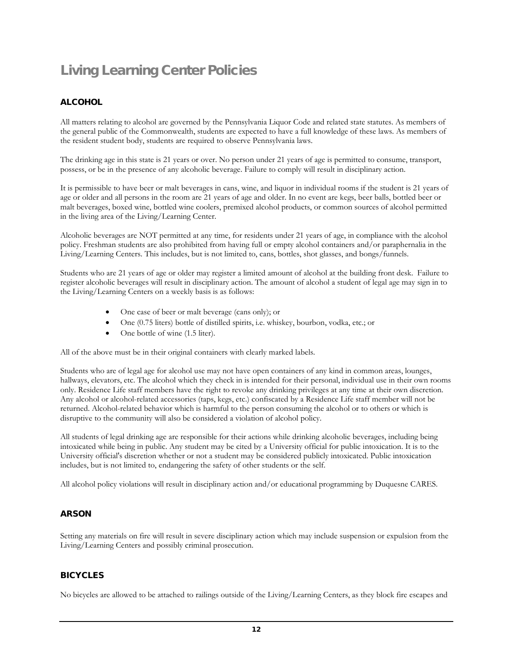# <span id="page-11-0"></span>Living Learning Center Policies

# <span id="page-11-1"></span>**ALCOHOL**

All matters relating to alcohol are governed by the Pennsylvania Liquor Code and related state statutes. As members of the general public of the Commonwealth, students are expected to have a full knowledge of these laws. As members of the resident student body, students are required to observe Pennsylvania laws.

The drinking age in this state is 21 years or over. No person under 21 years of age is permitted to consume, transport, possess, or be in the presence of any alcoholic beverage. Failure to comply will result in disciplinary action.

It is permissible to have beer or malt beverages in cans, wine, and liquor in individual rooms if the student is 21 years of age or older and all persons in the room are 21 years of age and older. In no event are kegs, beer balls, bottled beer or malt beverages, boxed wine, bottled wine coolers, premixed alcohol products, or common sources of alcohol permitted in the living area of the Living/Learning Center.

Alcoholic beverages are NOT permitted at any time, for residents under 21 years of age, in compliance with the alcohol policy. Freshman students are also prohibited from having full or empty alcohol containers and/or paraphernalia in the Living/Learning Centers. This includes, but is not limited to, cans, bottles, shot glasses, and bongs/funnels.

Students who are 21 years of age or older may register a limited amount of alcohol at the building front desk. Failure to register alcoholic beverages will result in disciplinary action. The amount of alcohol a student of legal age may sign in to the Living/Learning Centers on a weekly basis is as follows:

- One case of beer or malt beverage (cans only); or
- One (0.75 liters) bottle of distilled spirits, i.e. whiskey, bourbon, vodka, etc.; or
- One bottle of wine (1.5 liter).

All of the above must be in their original containers with clearly marked labels.

Students who are of legal age for alcohol use may not have open containers of any kind in common areas, lounges, hallways, elevators, etc. The alcohol which they check in is intended for their personal, individual use in their own rooms only. Residence Life staff members have the right to revoke any drinking privileges at any time at their own discretion. Any alcohol or alcohol-related accessories (taps, kegs, etc.) confiscated by a Residence Life staff member will not be returned. Alcohol-related behavior which is harmful to the person consuming the alcohol or to others or which is disruptive to the community will also be considered a violation of alcohol policy.

All students of legal drinking age are responsible for their actions while drinking alcoholic beverages, including being intoxicated while being in public. Any student may be cited by a University official for public intoxication. It is to the University official's discretion whether or not a student may be considered publicly intoxicated. Public intoxication includes, but is not limited to, endangering the safety of other students or the self.

All alcohol policy violations will result in disciplinary action and/or educational programming by Duquesne CARES.

# <span id="page-11-2"></span>ARSON

Setting any materials on fire will result in severe disciplinary action which may include suspension or expulsion from the Living/Learning Centers and possibly criminal prosecution.

#### <span id="page-11-3"></span>**BICYCLES**

No bicycles are allowed to be attached to railings outside of the Living/Learning Centers, as they block fire escapes and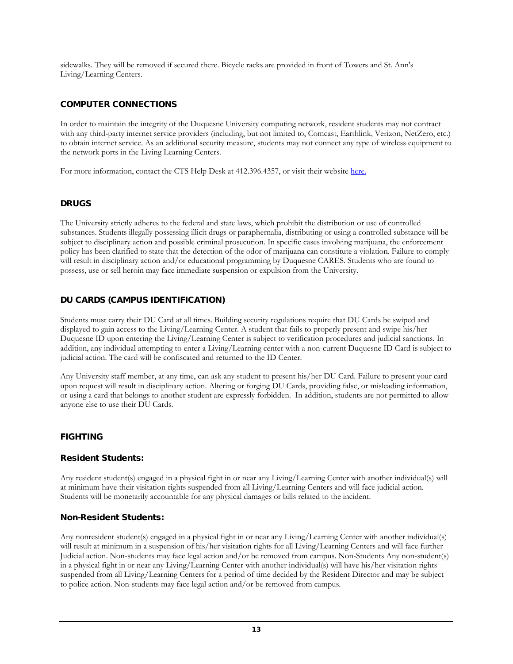sidewalks. They will be removed if secured there. Bicycle racks are provided in front of Towers and St. Ann's Living/Learning Centers.

# <span id="page-12-0"></span>COMPUTER CONNECTIONS

In order to maintain the integrity of the Duquesne University computing network, resident students may not contract with any third-party internet service providers (including, but not limited to, Comcast, Earthlink, Verizon, NetZero, etc.) to obtain internet service. As an additional security measure, students may not connect any type of wireless equipment to the network ports in the Living Learning Centers.

For more information, contact the CTS Help Desk at 412.396.4357, or visit their website [here.](http://www.technology.duq.edu/net/policies)

#### <span id="page-12-1"></span>DRUGS

The University strictly adheres to the federal and state laws, which prohibit the distribution or use of controlled substances. Students illegally possessing illicit drugs or paraphernalia, distributing or using a controlled substance will be subject to disciplinary action and possible criminal prosecution. In specific cases involving marijuana, the enforcement policy has been clarified to state that the detection of the odor of marijuana can constitute a violation. Failure to comply will result in disciplinary action and/or educational programming by Duquesne CARES. Students who are found to possess, use or sell heroin may face immediate suspension or expulsion from the University.

#### <span id="page-12-2"></span>DU CARDS (CAMPUS IDENTIFICATION)

Students must carry their DU Card at all times. Building security regulations require that DU Cards be swiped and displayed to gain access to the Living/Learning Center. A student that fails to properly present and swipe his/her Duquesne ID upon entering the Living/Learning Center is subject to verification procedures and judicial sanctions. In addition, any individual attempting to enter a Living/Learning center with a non-current Duquesne ID Card is subject to judicial action. The card will be confiscated and returned to the ID Center.

Any University staff member, at any time, can ask any student to present his/her DU Card. Failure to present your card upon request will result in disciplinary action. Altering or forging DU Cards, providing false, or misleading information, or using a card that belongs to another student are expressly forbidden. In addition, students are not permitted to allow anyone else to use their DU Cards.

#### <span id="page-12-3"></span>FIGHTING

#### Resident Students:

Any resident student(s) engaged in a physical fight in or near any Living/Learning Center with another individual(s) will at minimum have their visitation rights suspended from all Living/Learning Centers and will face judicial action. Students will be monetarily accountable for any physical damages or bills related to the incident.

#### Non-Resident Students:

<span id="page-12-4"></span>Any nonresident student(s) engaged in a physical fight in or near any Living/Learning Center with another individual(s) will result at minimum in a suspension of his/her visitation rights for all Living/Learning Centers and will face further Judicial action. Non-students may face legal action and/or be removed from campus. Non-Students Any non-student(s) in a physical fight in or near any Living/Learning Center with another individual(s) will have his/her visitation rights suspended from all Living/Learning Centers for a period of time decided by the Resident Director and may be subject to police action. Non-students may face legal action and/or be removed from campus.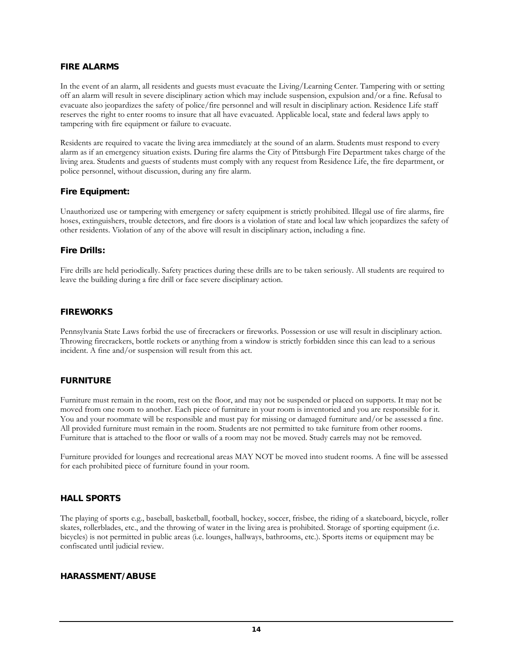#### FIRE ALARMS

In the event of an alarm, all residents and guests must evacuate the Living/Learning Center. Tampering with or setting off an alarm will result in severe disciplinary action which may include suspension, expulsion and/or a fine. Refusal to evacuate also jeopardizes the safety of police/fire personnel and will result in disciplinary action. Residence Life staff reserves the right to enter rooms to insure that all have evacuated. Applicable local, state and federal laws apply to tampering with fire equipment or failure to evacuate.

Residents are required to vacate the living area immediately at the sound of an alarm. Students must respond to every alarm as if an emergency situation exists. During fire alarms the City of Pittsburgh Fire Department takes charge of the living area. Students and guests of students must comply with any request from Residence Life, the fire department, or police personnel, without discussion, during any fire alarm.

#### Fire Equipment:

Unauthorized use or tampering with emergency or safety equipment is strictly prohibited. Illegal use of fire alarms, fire hoses, extinguishers, trouble detectors, and fire doors is a violation of state and local law which jeopardizes the safety of other residents. Violation of any of the above will result in disciplinary action, including a fine.

#### Fire Drills:

Fire drills are held periodically. Safety practices during these drills are to be taken seriously. All students are required to leave the building during a fire drill or face severe disciplinary action.

#### <span id="page-13-0"></span>FIREWORKS

Pennsylvania State Laws forbid the use of firecrackers or fireworks. Possession or use will result in disciplinary action. Throwing firecrackers, bottle rockets or anything from a window is strictly forbidden since this can lead to a serious incident. A fine and/or suspension will result from this act.

#### <span id="page-13-1"></span>FURNITURE

Furniture must remain in the room, rest on the floor, and may not be suspended or placed on supports. It may not be moved from one room to another. Each piece of furniture in your room is inventoried and you are responsible for it. You and your roommate will be responsible and must pay for missing or damaged furniture and/or be assessed a fine. All provided furniture must remain in the room. Students are not permitted to take furniture from other rooms. Furniture that is attached to the floor or walls of a room may not be moved. Study carrels may not be removed.

Furniture provided for lounges and recreational areas MAY NOT be moved into student rooms. A fine will be assessed for each prohibited piece of furniture found in your room.

#### <span id="page-13-2"></span>HALL SPORTS

The playing of sports e.g., baseball, basketball, football, hockey, soccer, frisbee, the riding of a skateboard, bicycle, roller skates, rollerblades, etc., and the throwing of water in the living area is prohibited. Storage of sporting equipment (i.e. bicycles) is not permitted in public areas (i.e. lounges, hallways, bathrooms, etc.). Sports items or equipment may be confiscated until judicial review.

#### <span id="page-13-3"></span>HARASSMENT/ ABUSE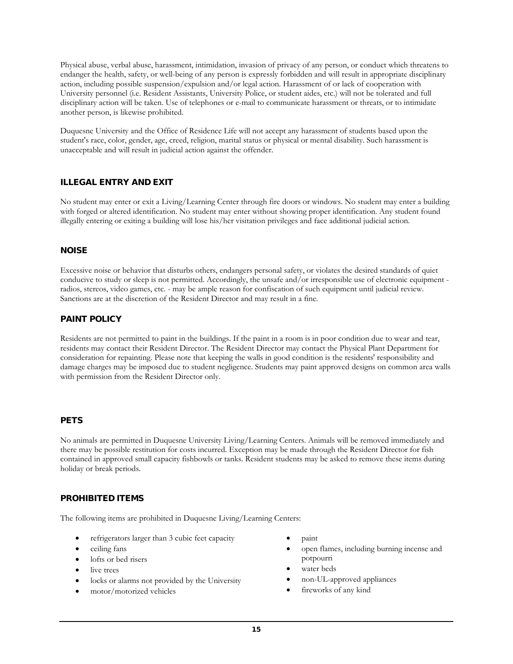Physical abuse, verbal abuse, harassment, intimidation, invasion of privacy of any person, or conduct which threatens to endanger the health, safety, or well-being of any person is expressly forbidden and will result in appropriate disciplinary action, including possible suspension/expulsion and/or legal action. Harassment of or lack of cooperation with University personnel (i.e. Resident Assistants, University Police, or student aides, etc.) will not be tolerated and full disciplinary action will be taken. Use of telephones or e-mail to communicate harassment or threats, or to intimidate another person, is likewise prohibited.

Duquesne University and the Office of Residence Life will not accept any harassment of students based upon the student's race, color, gender, age, creed, religion, marital status or physical or mental disability. Such harassment is unacceptable and will result in judicial action against the offender.

# <span id="page-14-0"></span>ILLEGAL ENTRY AND EXIT

No student may enter or exit a Living/Learning Center through fire doors or windows. No student may enter a building with forged or altered identification. No student may enter without showing proper identification. Any student found illegally entering or exiting a building will lose his/her visitation privileges and face additional judicial action.

#### <span id="page-14-1"></span>NOISE

Excessive noise or behavior that disturbs others, endangers personal safety, or violates the desired standards of quiet conducive to study or sleep is not permitted. Accordingly, the unsafe and/or irresponsible use of electronic equipment radios, stereos, video games, etc. - may be ample reason for confiscation of such equipment until judicial review. Sanctions are at the discretion of the Resident Director and may result in a fine.

#### PAINT POLICY

Residents are not permitted to paint in the buildings. If the paint in a room is in poor condition due to wear and tear, residents may contact their Resident Director. The Resident Director may contact the Physical Plant Department for consideration for repainting. Please note that keeping the walls in good condition is the residents' responsibility and damage charges may be imposed due to student negligence. Students may paint approved designs on common area walls with permission from the Resident Director only.

#### <span id="page-14-2"></span>**PETS**

No animals are permitted in Duquesne University Living/Learning Centers. Animals will be removed immediately and there may be possible restitution for costs incurred. Exception may be made through the Resident Director for fish contained in approved small capacity fishbowls or tanks. Resident students may be asked to remove these items during holiday or break periods.

#### <span id="page-14-3"></span>PROHIBITED ITEMS

The following items are prohibited in Duquesne Living/Learning Centers:

- refrigerators larger than 3 cubic feet capacity
- ceiling fans
- lofts or bed risers
- live trees
- locks or alarms not provided by the University
- motor/motorized vehicles
- paint
- open flames, including burning incense and potpourri
- water beds
- non-UL-approved appliances
- fireworks of any kind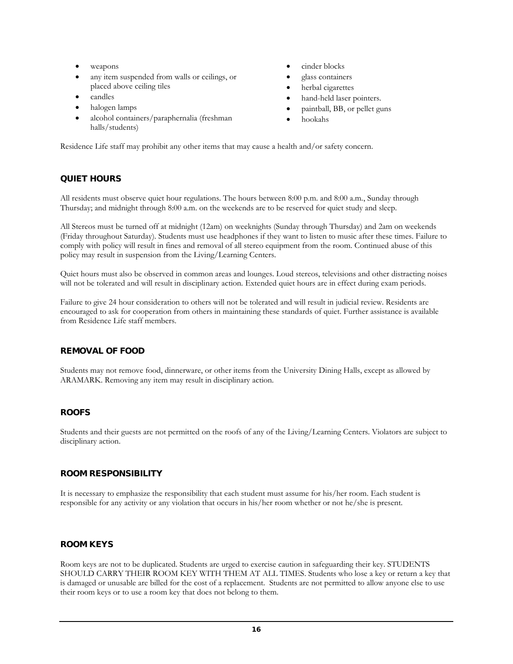- weapons
- any item suspended from walls or ceilings, or placed above ceiling tiles
- candles
- halogen lamps
- alcohol containers/paraphernalia (freshman halls/students)
- cinder blocks
- glass containers
- herbal cigarettes
- hand-held laser pointers.
- paintball, BB, or pellet guns
- hookahs

Residence Life staff may prohibit any other items that may cause a health and/or safety concern.

#### <span id="page-15-0"></span>QUIET HOURS

All residents must observe quiet hour regulations. The hours between 8:00 p.m. and 8:00 a.m., Sunday through Thursday; and midnight through 8:00 a.m. on the weekends are to be reserved for quiet study and sleep.

All Stereos must be turned off at midnight (12am) on weeknights (Sunday through Thursday) and 2am on weekends (Friday throughout Saturday). Students must use headphones if they want to listen to music after these times. Failure to comply with policy will result in fines and removal of all stereo equipment from the room. Continued abuse of this policy may result in suspension from the Living/Learning Centers.

Quiet hours must also be observed in common areas and lounges. Loud stereos, televisions and other distracting noises will not be tolerated and will result in disciplinary action. Extended quiet hours are in effect during exam periods.

Failure to give 24 hour consideration to others will not be tolerated and will result in judicial review. Residents are encouraged to ask for cooperation from others in maintaining these standards of quiet. Further assistance is available from Residence Life staff members.

#### REMOVAL OF FOOD

Students may not remove food, dinnerware, or other items from the University Dining Halls, except as allowed by ARAMARK. Removing any item may result in disciplinary action.

#### <span id="page-15-1"></span>ROOFS

Students and their guests are not permitted on the roofs of any of the Living/Learning Centers. Violators are subject to disciplinary action.

#### <span id="page-15-2"></span>ROOM RESPONSIBILITY

It is necessary to emphasize the responsibility that each student must assume for his/her room. Each student is responsible for any activity or any violation that occurs in his/her room whether or not he/she is present.

#### <span id="page-15-3"></span>ROOM KEYS

Room keys are not to be duplicated. Students are urged to exercise caution in safeguarding their key. STUDENTS SHOULD CARRY THEIR ROOM KEY WITH THEM AT ALL TIMES. Students who lose a key or return a key that is damaged or unusable are billed for the cost of a replacement. Students are not permitted to allow anyone else to use their room keys or to use a room key that does not belong to them.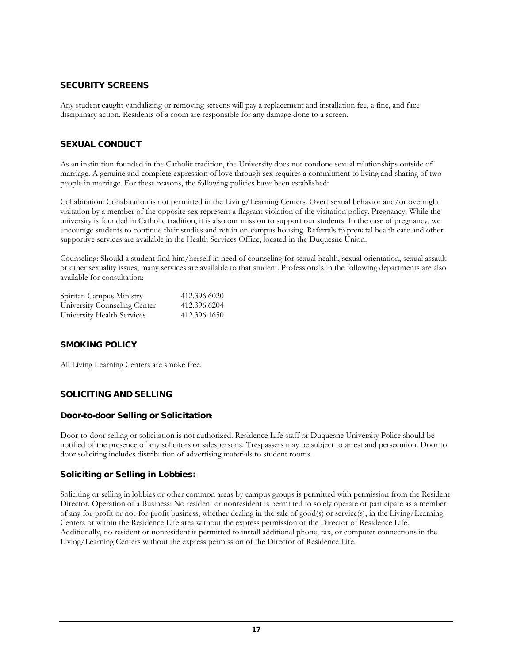#### <span id="page-16-0"></span>SECURITY SCREENS

Any student caught vandalizing or removing screens will pay a replacement and installation fee, a fine, and face disciplinary action. Residents of a room are responsible for any damage done to a screen.

#### <span id="page-16-1"></span>SEXUAL CONDUCT

As an institution founded in the Catholic tradition, the University does not condone sexual relationships outside of marriage. A genuine and complete expression of love through sex requires a commitment to living and sharing of two people in marriage. For these reasons, the following policies have been established:

Cohabitation: Cohabitation is not permitted in the Living/Learning Centers. Overt sexual behavior and/or overnight visitation by a member of the opposite sex represent a flagrant violation of the visitation policy. Pregnancy: While the university is founded in Catholic tradition, it is also our mission to support our students. In the case of pregnancy, we encourage students to continue their studies and retain on-campus housing. Referrals to prenatal health care and other supportive services are available in the Health Services Office, located in the Duquesne Union.

Counseling: Should a student find him/herself in need of counseling for sexual health, sexual orientation, sexual assault or other sexuality issues, many services are available to that student. Professionals in the following departments are also available for consultation:

| Spiritan Campus Ministry     | 412.396.6020 |
|------------------------------|--------------|
| University Counseling Center | 412.396.6204 |
| University Health Services   | 412.396.1650 |

#### <span id="page-16-2"></span>SMOKING POLICY

All Living Learning Centers are smoke free.

#### <span id="page-16-3"></span>SOLICITING AND SELLING

#### <span id="page-16-4"></span>Door-to-door Selling or Solicitation:

Door-to-door selling or solicitation is not authorized. Residence Life staff or Duquesne University Police should be notified of the presence of any solicitors or salespersons. Trespassers may be subject to arrest and persecution. Door to door soliciting includes distribution of advertising materials to student rooms.

#### <span id="page-16-5"></span>Soliciting or Selling in Lobbies:

Soliciting or selling in lobbies or other common areas by campus groups is permitted with permission from the Resident Director. Operation of a Business: No resident or nonresident is permitted to solely operate or participate as a member of any for-profit or not-for-profit business, whether dealing in the sale of good(s) or service(s), in the Living/Learning Centers or within the Residence Life area without the express permission of the Director of Residence Life. Additionally, no resident or nonresident is permitted to install additional phone, fax, or computer connections in the Living/Learning Centers without the express permission of the Director of Residence Life.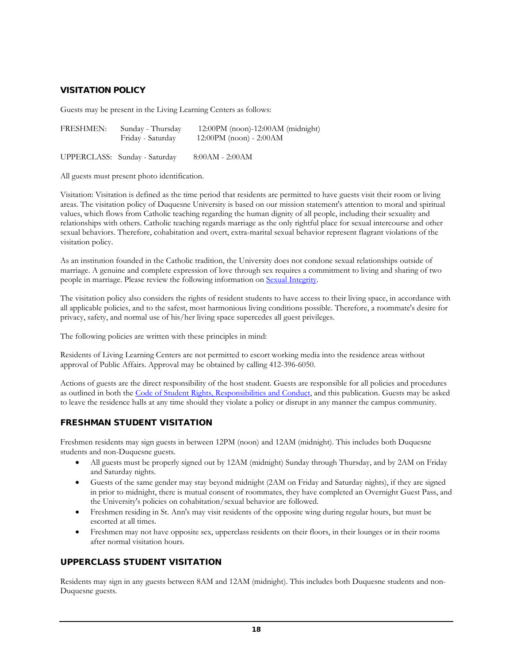# <span id="page-17-0"></span>VISITATION POLICY

Guests may be present in the Living Learning Centers as follows:

| <b>FRESHMEN:</b> | Sunday - Thursday | $12:00\text{PM}$ (noon)-12:00AM (midnight) |
|------------------|-------------------|--------------------------------------------|
|                  | Friday - Saturday | $12:00PM$ (noon) - $2:00AM$                |
|                  |                   |                                            |

UPPERCLASS: Sunday - Saturday 8:00AM - 2:00AM

All guests must present photo identification.

Visitation: Visitation is defined as the time period that residents are permitted to have guests visit their room or living areas. The visitation policy of Duquesne University is based on our mission statement's attention to moral and spiritual values, which flows from Catholic teaching regarding the human dignity of all people, including their sexuality and relationships with others. Catholic teaching regards marriage as the only rightful place for sexual intercourse and other sexual behaviors. Therefore, cohabitation and overt, extra-marital sexual behavior represent flagrant violations of the visitation policy.

As an institution founded in the Catholic tradition, the University does not condone sexual relationships outside of marriage. A genuine and complete expression of love through sex requires a commitment to living and sharing of two people in marriage. Please review the following information on [Sexual Integrity.](http://www.sexualintegrity.duq.edu/)

The visitation policy also considers the rights of resident students to have access to their living space, in accordance with all applicable policies, and to the safest, most harmonious living conditions possible. Therefore, a roommate's desire for privacy, safety, and normal use of his/her living space supercedes all guest privileges.

The following policies are written with these principles in mind:

Residents of Living Learning Centers are not permitted to escort working media into the residence areas without approval of Public Affairs. Approval may be obtained by calling 412-396-6050.

Actions of guests are the direct responsibility of the host student. Guests are responsible for all policies and procedures as outlined in both the [Code of Student Rights, Responsibilities and Conduct,](http://www.studentlife.duq.edu/studenthandbook/17_codebook.html) and this publication. Guests may be asked to leave the residence halls at any time should they violate a policy or disrupt in any manner the campus community.

#### <span id="page-17-1"></span>FRESHMAN STUDENT VISITATION

Freshmen residents may sign guests in between 12PM (noon) and 12AM (midnight). This includes both Duquesne students and non-Duquesne guests.

- All guests must be properly signed out by 12AM (midnight) Sunday through Thursday, and by 2AM on Friday and Saturday nights.
- Guests of the same gender may stay beyond midnight (2AM on Friday and Saturday nights), if they are signed in prior to midnight, there is mutual consent of roommates, they have completed an Overnight Guest Pass, and the University's policies on cohabitation/sexual behavior are followed.
- Freshmen residing in St. Ann's may visit residents of the opposite wing during regular hours, but must be escorted at all times.
- Freshmen may not have opposite sex, upperclass residents on their floors, in their lounges or in their rooms after normal visitation hours.

#### <span id="page-17-2"></span>UPPERCLASS STUDENT VISITATION

Residents may sign in any guests between 8AM and 12AM (midnight). This includes both Duquesne students and non-Duquesne guests.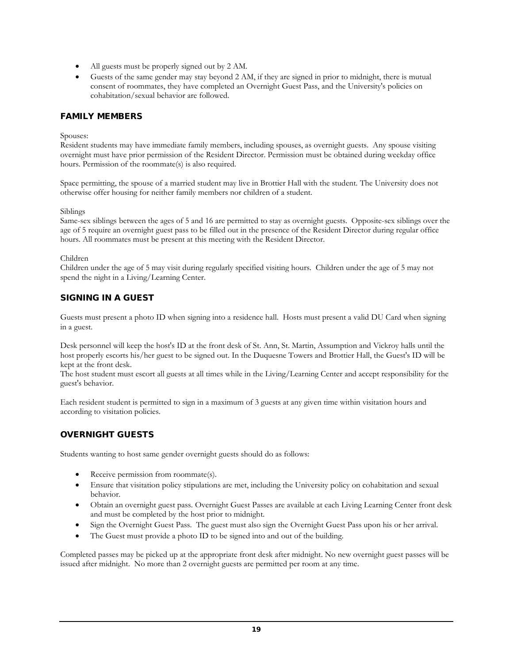- All guests must be properly signed out by 2 AM.
- Guests of the same gender may stay beyond 2 AM, if they are signed in prior to midnight, there is mutual consent of roommates, they have completed an Overnight Guest Pass, and the University's policies on cohabitation/sexual behavior are followed.

#### <span id="page-18-0"></span>FAMILY MEMBERS

#### Spouses:

Resident students may have immediate family members, including spouses, as overnight guests. Any spouse visiting overnight must have prior permission of the Resident Director. Permission must be obtained during weekday office hours. Permission of the roommate(s) is also required.

Space permitting, the spouse of a married student may live in Brottier Hall with the student. The University does not otherwise offer housing for neither family members nor children of a student.

#### Siblings

Same-sex siblings between the ages of 5 and 16 are permitted to stay as overnight guests. Opposite-sex siblings over the age of 5 require an overnight guest pass to be filled out in the presence of the Resident Director during regular office hours. All roommates must be present at this meeting with the Resident Director.

#### Children

Children under the age of 5 may visit during regularly specified visiting hours. Children under the age of 5 may not spend the night in a Living/Learning Center.

# <span id="page-18-1"></span>SIGNING IN A GUEST

Guests must present a photo ID when signing into a residence hall. Hosts must present a valid DU Card when signing in a guest.

Desk personnel will keep the host's ID at the front desk of St. Ann, St. Martin, Assumption and Vickroy halls until the host properly escorts his/her guest to be signed out. In the Duquesne Towers and Brottier Hall, the Guest's ID will be kept at the front desk.

The host student must escort all guests at all times while in the Living/Learning Center and accept responsibility for the guest's behavior.

Each resident student is permitted to sign in a maximum of 3 guests at any given time within visitation hours and according to visitation policies.

#### <span id="page-18-2"></span>OVERNIGHT GUESTS

Students wanting to host same gender overnight guests should do as follows:

- Receive permission from roommate(s).
- Ensure that visitation policy stipulations are met, including the University policy on cohabitation and sexual behavior.
- Obtain an overnight guest pass. Overnight Guest Passes are available at each Living Learning Center front desk and must be completed by the host prior to midnight.
- Sign the Overnight Guest Pass. The guest must also sign the Overnight Guest Pass upon his or her arrival.
- The Guest must provide a photo ID to be signed into and out of the building.

Completed passes may be picked up at the appropriate front desk after midnight. No new overnight guest passes will be issued after midnight. No more than 2 overnight guests are permitted per room at any time.